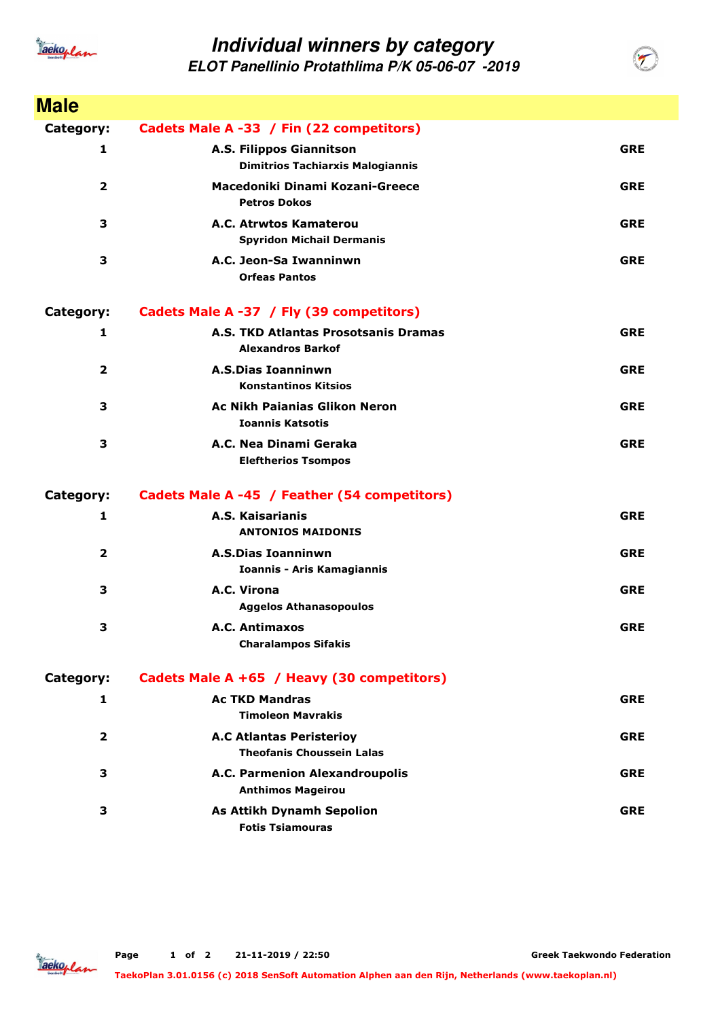

## **Individual winners by category**

**ELOT Panellinio Protathlima P/K 05-06-07 -2019**

| <b>Male</b>      |                                                                     |            |
|------------------|---------------------------------------------------------------------|------------|
| Category:        | Cadets Male A -33 / Fin (22 competitors)                            |            |
| 1                | A.S. Filippos Giannitson<br><b>Dimitrios Tachiarxis Malogiannis</b> | <b>GRE</b> |
| $\mathbf{2}$     | Macedoniki Dinami Kozani-Greece<br><b>Petros Dokos</b>              | <b>GRE</b> |
| 3                | A.C. Atrwtos Kamaterou<br><b>Spyridon Michail Dermanis</b>          | <b>GRE</b> |
| 3                | A.C. Jeon-Sa Iwanninwn<br><b>Orfeas Pantos</b>                      | <b>GRE</b> |
| <b>Category:</b> | Cadets Male A -37 / Fly (39 competitors)                            |            |
| 1                | A.S. TKD Atlantas Prosotsanis Dramas<br><b>Alexandros Barkof</b>    | <b>GRE</b> |
| 2                | <b>A.S.Dias Ioanninwn</b><br><b>Konstantinos Kitsios</b>            | <b>GRE</b> |
| 3                | <b>Ac Nikh Paianias Glikon Neron</b><br><b>Ioannis Katsotis</b>     | <b>GRE</b> |
| 3                | A.C. Nea Dinami Geraka<br><b>Eleftherios Tsompos</b>                | <b>GRE</b> |
| <b>Category:</b> | Cadets Male A -45 / Feather (54 competitors)                        |            |
| 1                | A.S. Kaisarianis<br><b>ANTONIOS MAIDONIS</b>                        | <b>GRE</b> |
| $\overline{2}$   | <b>A.S.Dias Ioanninwn</b><br><b>Ioannis - Aris Kamagiannis</b>      | <b>GRE</b> |
| 3                | A.C. Virona<br><b>Aggelos Athanasopoulos</b>                        | <b>GRE</b> |
| 3                | A.C. Antimaxos<br><b>Charalampos Sifakis</b>                        | <b>GRE</b> |
| Category:        | Cadets Male A +65 / Heavy (30 competitors)                          |            |
| 1                | <b>Ac TKD Mandras</b><br><b>Timoleon Mavrakis</b>                   | <b>GRE</b> |
| $\overline{2}$   | <b>A.C Atlantas Peristerioy</b><br><b>Theofanis Choussein Lalas</b> | <b>GRE</b> |
| 3                | A.C. Parmenion Alexandroupolis<br><b>Anthimos Mageirou</b>          | <b>GRE</b> |
| 3                | <b>As Attikh Dynamh Sepolion</b><br><b>Fotis Tsiamouras</b>         | <b>GRE</b> |